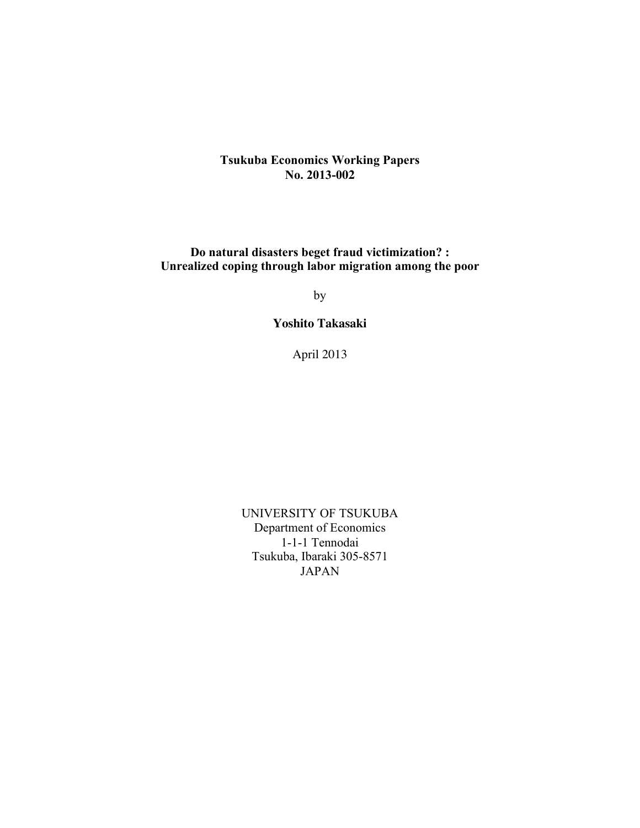# **Tsukuba Economics Working Papers No. 2013-002**

**Do natural disasters beget fraud victimization? : Unrealized coping through labor migration among the poor**

by

**Yoshito Takasaki**

April 2013

UNIVERSITY OF TSUKUBA Department of Economics 1-1-1 Tennodai Tsukuba, Ibaraki 305-8571 JAPAN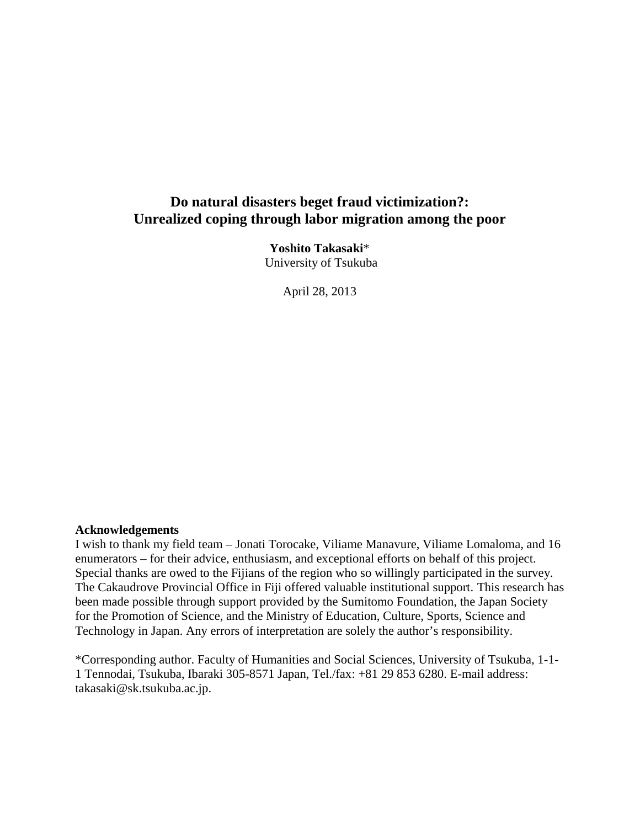# **Do natural disasters beget fraud victimization?: Unrealized coping through labor migration among the poor**

**Yoshito Takasaki**\* University of Tsukuba

April 28, 2013

## **Acknowledgements**

<span id="page-1-0"></span>I wish to thank my field team – Jonati Torocake, Viliame Manavure, Viliame Lomaloma, and 16 enumerators – for their advice, enthusiasm, and exceptional efforts on behalf of this project. Special thanks are owed to the Fijians of the region who so willingly participated in the survey. The Cakaudrove Provincial Office in Fiji offered valuable institutional support. This research has been made possible through support provided by the Sumitomo Foundation, the Japan Society for the Promotion of Science, and the Ministry of Education, Culture, Sports, Science and Technology in Japan. Any errors of interpretation are solely the author's responsibility.

\*Corresponding author. Faculty of Humanities and Social Sciences, University of Tsukuba, 1-1- 1 Tennodai, Tsukuba, Ibaraki 305-8571 Japan, Tel./fax: +81 29 853 6280. E-mail address: takasaki@sk.tsukuba.ac.jp.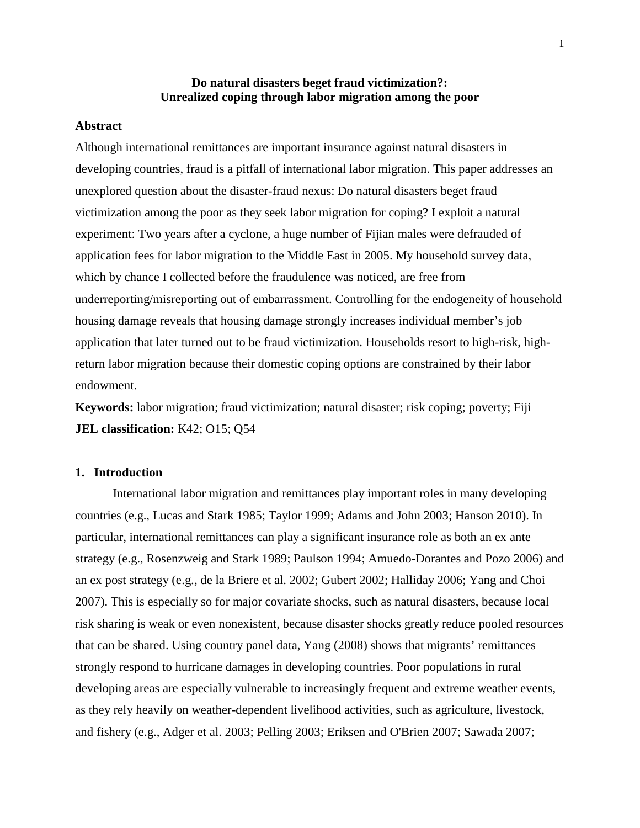## **Do natural disasters beget fraud victimization?: Unrealized coping through labor migration among the poor**

### **Abstract**

Although international remittances are important insurance against natural disasters in developing countries, fraud is a pitfall of international labor migration. This paper addresses an unexplored question about the disaster-fraud nexus: Do natural disasters beget fraud victimization among the poor as they seek labor migration for coping? I exploit a natural experiment: Two years after a cyclone, a huge number of Fijian males were defrauded of application fees for labor migration to the Middle East in 2005. My household survey data, which by chance I collected before the fraudulence was noticed, are free from underreporting/misreporting out of embarrassment. Controlling for the endogeneity of household housing damage reveals that housing damage strongly increases individual member's job application that later turned out to be fraud victimization. Households resort to high-risk, highreturn labor migration because their domestic coping options are constrained by their labor endowment.

**Keywords:** labor migration; fraud victimization; natural disaster; risk coping; poverty; Fiji **JEL classification:** K42; O15; Q54

## **1. Introduction**

International labor migration and remittances play important roles in many developing countries (e.g., [Lucas and Stark 1985;](#page-18-0) [Taylor 1999;](#page-19-0) [Adams and John 2003;](#page-17-0) [Hanson 2010\)](#page-18-1). In particular, international remittances can play a significant insurance role as both an ex ante strategy (e.g., [Rosenzweig and Stark 1989;](#page-19-1) [Paulson 1994;](#page-19-2) [Amuedo-Dorantes and Pozo 2006\)](#page-17-1) and an ex post strategy (e.g., [de la Briere et al. 2002;](#page-18-2) [Gubert 2002;](#page-18-3) [Halliday 2006;](#page-18-4) [Yang and Choi](#page-20-0)  [2007\)](#page-20-0). This is especially so for major covariate shocks, such as natural disasters, because local risk sharing is weak or even nonexistent, because disaster shocks greatly reduce pooled resources that can be shared. Using country panel data, Yang [\(2008\)](#page-19-3) shows that migrants' remittances strongly respond to hurricane damages in developing countries. Poor populations in rural developing areas are especially vulnerable to increasingly frequent and extreme weather events, as they rely heavily on weather-dependent livelihood activities, such as agriculture, livestock, and fishery (e.g., [Adger et al. 2003;](#page-17-2) [Pelling 2003;](#page-19-4) [Eriksen and O'Brien 2007;](#page-18-5) [Sawada 2007;](#page-19-5)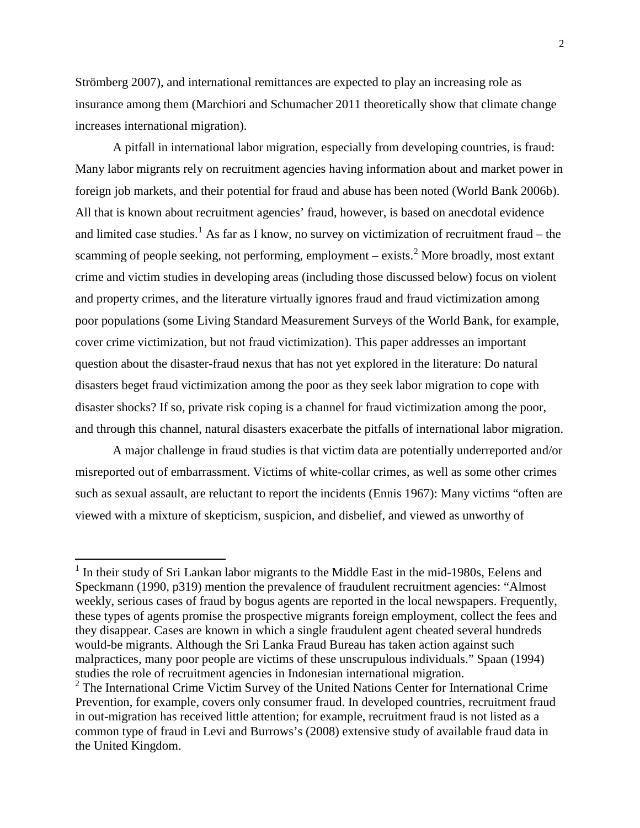[Strömberg 2007\)](#page-19-6), and international remittances are expected to play an increasing role as insurance among them [\(Marchiori and Schumacher 2011 theoretically show that climate change](#page-18-6)  [increases international migration\)](#page-18-6).

A pitfall in international labor migration, especially from developing countries, is fraud: Many labor migrants rely on recruitment agencies having information about and market power in foreign job markets, and their potential for fraud and abuse has been noted [\(World Bank 2006b\)](#page-19-7). All that is known about recruitment agencies' fraud, however, is based on anecdotal evidence and limited case studies.<sup>[1](#page-1-0)</sup> As far as I know, no survey on victimization of recruitment fraud – the scamming of people seeking, not performing, employment  $-$  exists.<sup>[2](#page-3-0)</sup> More broadly, most extant crime and victim studies in developing areas (including those discussed below) focus on violent and property crimes, and the literature virtually ignores fraud and fraud victimization among poor populations (some Living Standard Measurement Surveys of the World Bank, for example, cover crime victimization, but not fraud victimization). This paper addresses an important question about the disaster-fraud nexus that has not yet explored in the literature: Do natural disasters beget fraud victimization among the poor as they seek labor migration to cope with disaster shocks? If so, private risk coping is a channel for fraud victimization among the poor, and through this channel, natural disasters exacerbate the pitfalls of international labor migration.

A major challenge in fraud studies is that victim data are potentially underreported and/or misreported out of embarrassment. Victims of white-collar crimes, as well as some other crimes such as sexual assault, are reluctant to report the incidents [\(Ennis 1967\)](#page-18-7): Many victims "often are viewed with a mixture of skepticism, suspicion, and disbelief, and viewed as unworthy of

 $1$  In their study of Sri Lankan labor migrants to the Middle East in the mid-1980s, Eelens and Speckmann [\(1990, p319\)](#page-18-8) mention the prevalence of fraudulent recruitment agencies: "Almost weekly, serious cases of fraud by bogus agents are reported in the local newspapers. Frequently, these types of agents promise the prospective migrants foreign employment, collect the fees and they disappear. Cases are known in which a single fraudulent agent cheated several hundreds would-be migrants. Although the Sri Lanka Fraud Bureau has taken action against such malpractices, many poor people are victims of these unscrupulous individuals." Spaan [\(1994\)](#page-19-8) studies the role of recruitment agencies in Indonesian international migration.

<span id="page-3-1"></span><span id="page-3-0"></span><sup>&</sup>lt;sup>2</sup> The International Crime Victim Survey of the United Nations Center for International Crime Prevention, for example, covers only consumer fraud. In developed countries, recruitment fraud in out-migration has received little attention; for example, recruitment fraud is not listed as a common type of fraud in Levi and Burrows's [\(2008\)](#page-18-9) extensive study of available fraud data in the United Kingdom.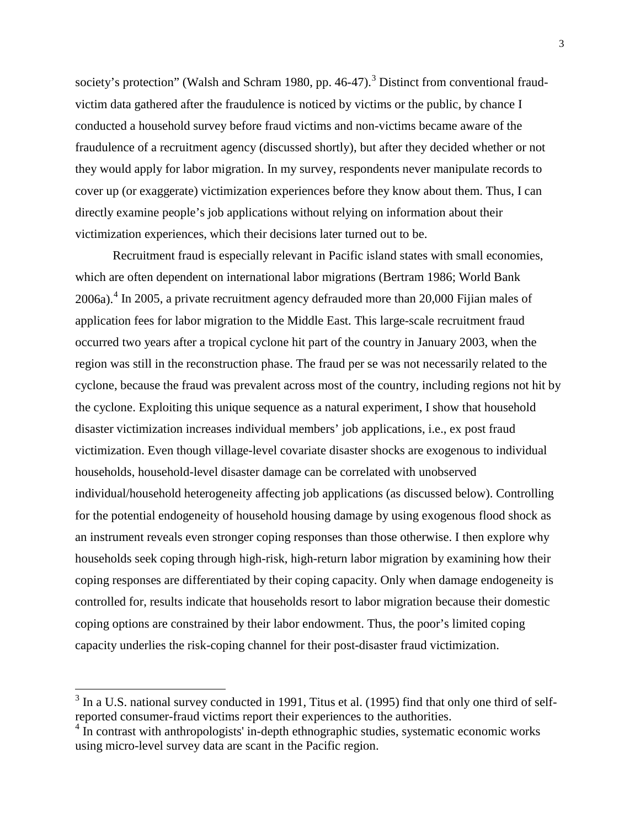society's protection" [\(Walsh and Schram 1980, pp. 46-47\)](#page-19-9).<sup>[3](#page-3-1)</sup> Distinct from conventional fraudvictim data gathered after the fraudulence is noticed by victims or the public, by chance I conducted a household survey before fraud victims and non-victims became aware of the fraudulence of a recruitment agency (discussed shortly), but after they decided whether or not they would apply for labor migration. In my survey, respondents never manipulate records to cover up (or exaggerate) victimization experiences before they know about them. Thus, I can directly examine people's job applications without relying on information about their victimization experiences, which their decisions later turned out to be.

Recruitment fraud is especially relevant in Pacific island states with small economies, which are often dependent on international labor migrations [\(Bertram 1986;](#page-17-3) [World Bank](#page-19-10)  [2006a\)](#page-19-10). [4](#page-4-0) In 2005, a private recruitment agency defrauded more than 20,000 Fijian males of application fees for labor migration to the Middle East. This large-scale recruitment fraud occurred two years after a tropical cyclone hit part of the country in January 2003, when the region was still in the reconstruction phase. The fraud per se was not necessarily related to the cyclone, because the fraud was prevalent across most of the country, including regions not hit by the cyclone. Exploiting this unique sequence as a natural experiment, I show that household disaster victimization increases individual members' job applications, i.e., ex post fraud victimization. Even though village-level covariate disaster shocks are exogenous to individual households, household-level disaster damage can be correlated with unobserved individual/household heterogeneity affecting job applications (as discussed below). Controlling for the potential endogeneity of household housing damage by using exogenous flood shock as an instrument reveals even stronger coping responses than those otherwise. I then explore why households seek coping through high-risk, high-return labor migration by examining how their coping responses are differentiated by their coping capacity. Only when damage endogeneity is controlled for, results indicate that households resort to labor migration because their domestic coping options are constrained by their labor endowment. Thus, the poor's limited coping capacity underlies the risk-coping channel for their post-disaster fraud victimization.

<sup>&</sup>lt;sup>3</sup> In a U.S. national survey conducted in 1991, Titus et al. [\(1995\)](#page-19-11) find that only one third of selfreported consumer-fraud victims report their experiences to the authorities.

<span id="page-4-1"></span><span id="page-4-0"></span><sup>&</sup>lt;sup>4</sup> In contrast with anthropologists' in-depth ethnographic studies, systematic economic works using micro-level survey data are scant in the Pacific region.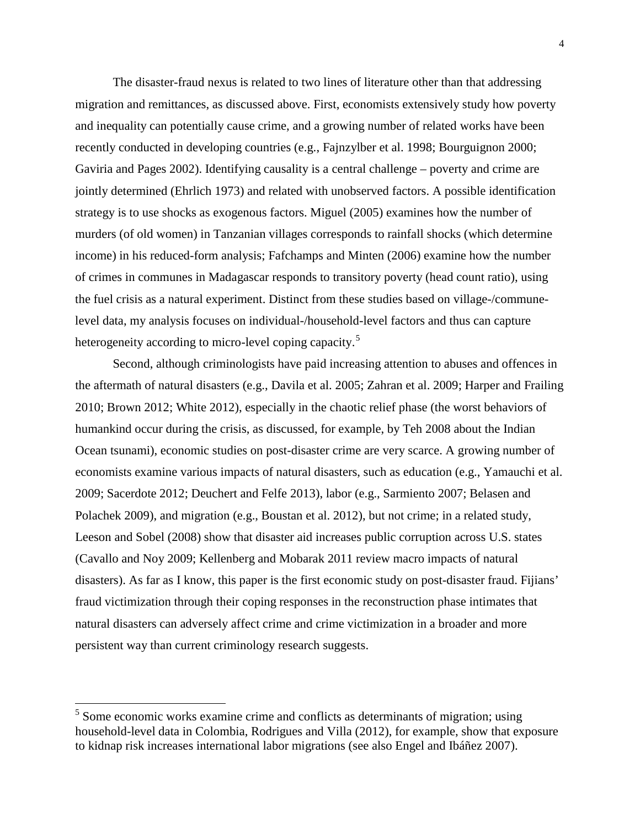The disaster-fraud nexus is related to two lines of literature other than that addressing migration and remittances, as discussed above. First, economists extensively study how poverty and inequality can potentially cause crime, and a growing number of related works have been recently conducted in developing countries (e.g., [Fajnzylber et al. 1998;](#page-18-10) [Bourguignon 2000;](#page-17-4) [Gaviria and Pages 2002\)](#page-18-11). Identifying causality is a central challenge – poverty and crime are jointly determined [\(Ehrlich 1973\)](#page-18-12) and related with unobserved factors. A possible identification strategy is to use shocks as exogenous factors. Miguel [\(2005\)](#page-18-13) examines how the number of murders (of old women) in Tanzanian villages corresponds to rainfall shocks (which determine income) in his reduced-form analysis; Fafchamps and Minten [\(2006\)](#page-18-14) examine how the number of crimes in communes in Madagascar responds to transitory poverty (head count ratio), using the fuel crisis as a natural experiment. Distinct from these studies based on village-/communelevel data, my analysis focuses on individual-/household-level factors and thus can capture heterogeneity according to micro-level coping capacity.<sup>[5](#page-4-1)</sup>

Second, although criminologists have paid increasing attention to abuses and offences in the aftermath of natural disasters (e.g., [Davila et al. 2005;](#page-17-5) [Zahran et al. 2009;](#page-20-1) [Harper and Frailing](#page-18-15)  [2010;](#page-18-15) [Brown 2012;](#page-17-6) [White 2012\)](#page-19-12), especially in the chaotic relief phase (the [worst behaviors of](#page-19-13)  [humankind occur during the crisis, as discussed, for example, by Teh 2008 about the Indian](#page-19-13)  [Ocean tsunami\)](#page-19-13), economic studies on post-disaster crime are very scarce. A growing number of economists examine various impacts of natural disasters, such as education (e.g., [Yamauchi et al.](#page-19-14)  [2009;](#page-19-14) [Sacerdote 2012;](#page-19-15) [Deuchert and Felfe 2013\)](#page-18-16), labor (e.g., [Sarmiento 2007;](#page-19-16) [Belasen and](#page-17-7)  [Polachek 2009\)](#page-17-7), and migration [\(e.g., Boustan et al. 2012\)](#page-17-8), but not crime; in a related study, Leeson and Sobel [\(2008\)](#page-18-17) show that disaster aid increases public corruption across U.S. states [\(Cavallo and Noy 2009;](#page-17-9) [Kellenberg and Mobarak 2011 review macro impacts of natural](#page-18-18)  [disasters\)](#page-18-18). As far as I know, this paper is the first economic study on post-disaster fraud. Fijians' fraud victimization through their coping responses in the reconstruction phase intimates that natural disasters can adversely affect crime and crime victimization in a broader and more persistent way than current criminology research suggests.

<span id="page-5-0"></span> $5$  Some economic works examine crime and conflicts as determinants of migration; using household-level data in Colombia, Rodrigues and Villa [\(2012\)](#page-19-17), for example, show that exposure to kidnap risk increases international labor migrations [\(see also Engel and Ibáñez 2007\)](#page-18-19).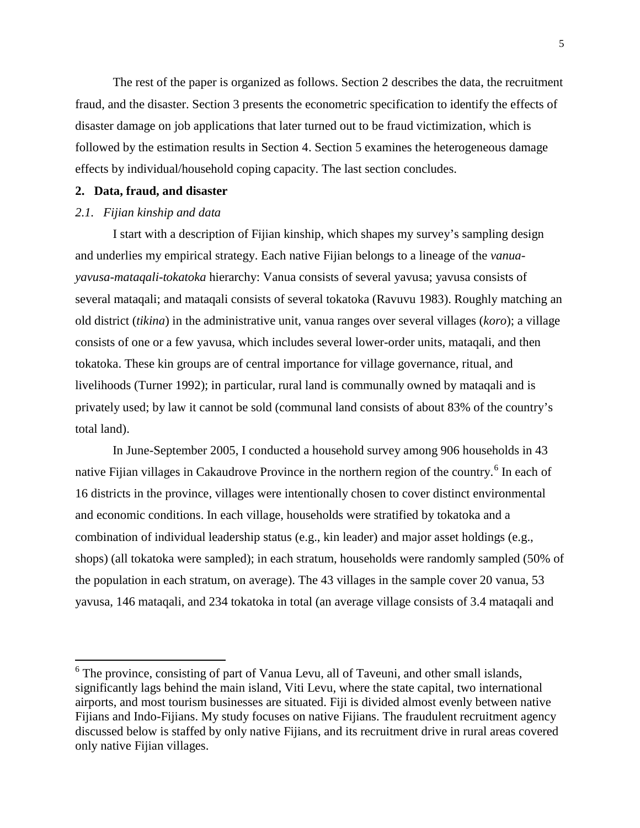The rest of the paper is organized as follows. Section 2 describes the data, the recruitment fraud, and the disaster. Section 3 presents the econometric specification to identify the effects of disaster damage on job applications that later turned out to be fraud victimization, which is followed by the estimation results in Section 4. Section 5 examines the heterogeneous damage effects by individual/household coping capacity. The last section concludes.

### **2. Data, fraud, and disaster**

## *2.1. Fijian kinship and data*

I start with a description of Fijian kinship, which shapes my survey's sampling design and underlies my empirical strategy. Each native Fijian belongs to a lineage of the *vanuayavusa*-*mataqali*-*tokatoka* hierarchy: Vanua consists of several yavusa; yavusa consists of several mataqali; and mataqali consists of several tokatoka [\(Ravuvu 1983\)](#page-19-18). Roughly matching an old district (*tikina*) in the administrative unit, vanua ranges over several villages (*koro*); a village consists of one or a few yavusa, which includes several lower-order units, mataqali, and then tokatoka. These kin groups are of central importance for village governance, ritual, and livelihoods [\(Turner 1992\)](#page-19-19); in particular, rural land is communally owned by mataqali and is privately used; by law it cannot be sold (communal land consists of about 83% of the country's total land).

In June-September 2005, I conducted a household survey among 906 households in 43 native Fijian villages in Cakaudrove Province in the northern region of the country.<sup>[6](#page-5-0)</sup> In each of 16 districts in the province, villages were intentionally chosen to cover distinct environmental and economic conditions. In each village, households were stratified by tokatoka and a combination of individual leadership status (e.g., kin leader) and major asset holdings (e.g., shops) (all tokatoka were sampled); in each stratum, households were randomly sampled (50% of the population in each stratum, on average). The 43 villages in the sample cover 20 vanua, 53 yavusa, 146 mataqali, and 234 tokatoka in total (an average village consists of 3.4 mataqali and

<span id="page-6-0"></span><sup>&</sup>lt;sup>6</sup> The province, consisting of part of Vanua Levu, all of Taveuni, and other small islands, significantly lags behind the main island, Viti Levu, where the state capital, two international airports, and most tourism businesses are situated. Fiji is divided almost evenly between native Fijians and Indo-Fijians. My study focuses on native Fijians. The fraudulent recruitment agency discussed below is staffed by only native Fijians, and its recruitment drive in rural areas covered only native Fijian villages.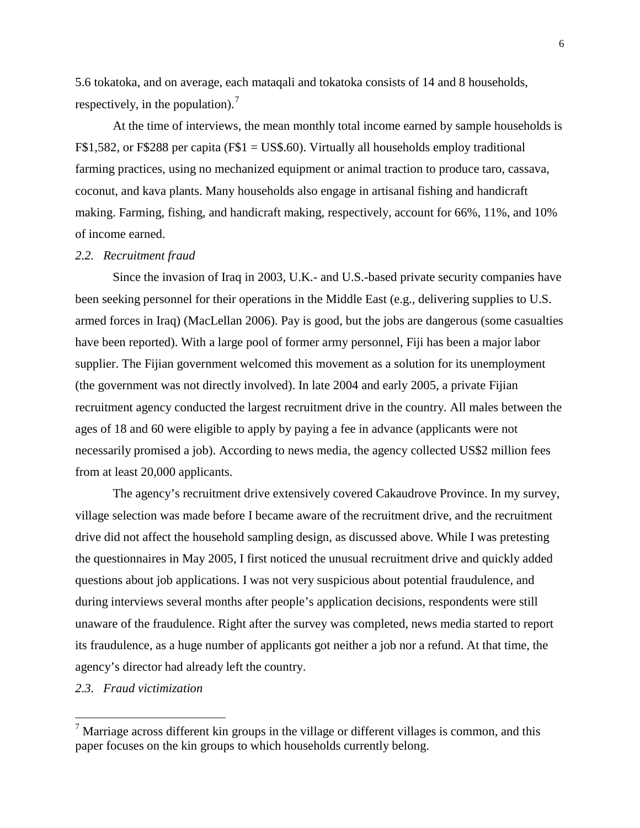5.6 tokatoka, and on average, each mataqali and tokatoka consists of 14 and 8 households, respectively, in the population).<sup>[7](#page-6-0)</sup>

At the time of interviews, the mean monthly total income earned by sample households is F\$1,582, or F\$288 per capita (F\$1 = US\$.60). Virtually all households employ traditional farming practices, using no mechanized equipment or animal traction to produce taro, cassava, coconut, and kava plants. Many households also engage in artisanal fishing and handicraft making. Farming, fishing, and handicraft making, respectively, account for 66%, 11%, and 10% of income earned.

## *2.2. Recruitment fraud*

Since the invasion of Iraq in 2003, U.K.- and U.S.-based private security companies have been seeking personnel for their operations in the Middle East (e.g., delivering supplies to U.S. armed forces in Iraq) [\(MacLellan 2006\)](#page-18-20). Pay is good, but the jobs are dangerous (some casualties have been reported). With a large pool of former army personnel, Fiji has been a major labor supplier. The Fijian government welcomed this movement as a solution for its unemployment (the government was not directly involved). In late 2004 and early 2005, a private Fijian recruitment agency conducted the largest recruitment drive in the country. All males between the ages of 18 and 60 were eligible to apply by paying a fee in advance (applicants were not necessarily promised a job). According to news media, the agency collected US\$2 million fees from at least 20,000 applicants.

The agency's recruitment drive extensively covered Cakaudrove Province. In my survey, village selection was made before I became aware of the recruitment drive, and the recruitment drive did not affect the household sampling design, as discussed above. While I was pretesting the questionnaires in May 2005, I first noticed the unusual recruitment drive and quickly added questions about job applications. I was not very suspicious about potential fraudulence, and during interviews several months after people's application decisions, respondents were still unaware of the fraudulence. Right after the survey was completed, news media started to report its fraudulence, as a huge number of applicants got neither a job nor a refund. At that time, the agency's director had already left the country.

#### *2.3. Fraud victimization*

<span id="page-7-0"></span><sup>&</sup>lt;sup>7</sup> Marriage across different kin groups in the village or different villages is common, and this paper focuses on the kin groups to which households currently belong.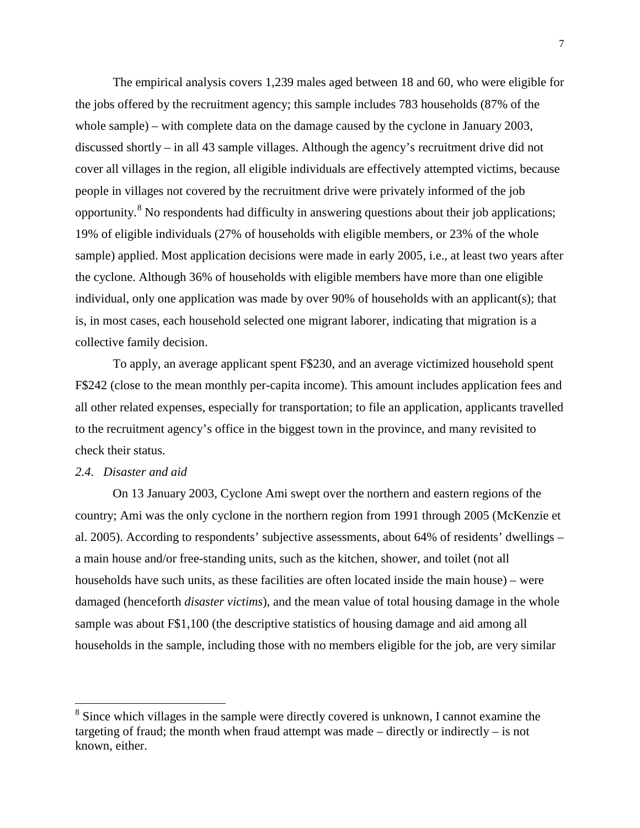The empirical analysis covers 1,239 males aged between 18 and 60, who were eligible for the jobs offered by the recruitment agency; this sample includes 783 households (87% of the whole sample) – with complete data on the damage caused by the cyclone in January 2003, discussed shortly – in all 43 sample villages. Although the agency's recruitment drive did not cover all villages in the region, all eligible individuals are effectively attempted victims, because people in villages not covered by the recruitment drive were privately informed of the job opportunity.[8](#page-7-0) No respondents had difficulty in answering questions about their job applications; 19% of eligible individuals (27% of households with eligible members, or 23% of the whole sample) applied. Most application decisions were made in early 2005, i.e., at least two years after the cyclone. Although 36% of households with eligible members have more than one eligible individual, only one application was made by over 90% of households with an applicant(s); that is, in most cases, each household selected one migrant laborer, indicating that migration is a collective family decision.

To apply, an average applicant spent F\$230, and an average victimized household spent F\$242 (close to the mean monthly per-capita income). This amount includes application fees and all other related expenses, especially for transportation; to file an application, applicants travelled to the recruitment agency's office in the biggest town in the province, and many revisited to check their status.

### *2.4. Disaster and aid*

<span id="page-8-0"></span>On 13 January 2003, Cyclone Ami swept over the northern and eastern regions of the country; Ami was the only cyclone in the northern region from 1991 through 2005 [\(McKenzie et](#page-18-21)  [al. 2005\)](#page-18-21). According to respondents' subjective assessments, about 64% of residents' dwellings – a main house and/or free-standing units, such as the kitchen, shower, and toilet (not all households have such units, as these facilities are often located inside the main house) – were damaged (henceforth *disaster victims*), and the mean value of total housing damage in the whole sample was about F\$1,100 (the descriptive statistics of housing damage and aid among all households in the sample, including those with no members eligible for the job, are very similar

 $8$  Since which villages in the sample were directly covered is unknown, I cannot examine the targeting of fraud; the month when fraud attempt was made – directly or indirectly – is not known, either.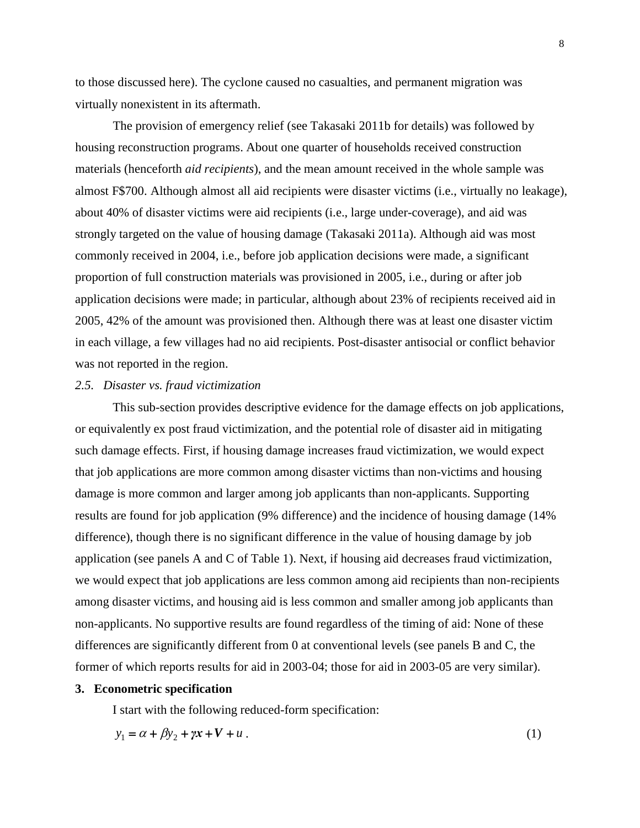to those discussed here). The cyclone caused no casualties, and permanent migration was virtually nonexistent in its aftermath.

The provision of emergency relief [\(see Takasaki 2011b for details\)](#page-19-20) was followed by housing reconstruction programs. About one quarter of households received construction materials (henceforth *aid recipients*), and the mean amount received in the whole sample was almost F\$700. Although almost all aid recipients were disaster victims (i.e., virtually no leakage), about 40% of disaster victims were aid recipients (i.e., large under-coverage), and aid was strongly targeted on the value of housing damage [\(Takasaki 2011a\)](#page-19-21). Although aid was most commonly received in 2004, i.e., before job application decisions were made, a significant proportion of full construction materials was provisioned in 2005, i.e., during or after job application decisions were made; in particular, although about 23% of recipients received aid in 2005, 42% of the amount was provisioned then. Although there was at least one disaster victim in each village, a few villages had no aid recipients. Post-disaster antisocial or conflict behavior was not reported in the region.

## *2.5. Disaster vs. fraud victimization*

This sub-section provides descriptive evidence for the damage effects on job applications, or equivalently ex post fraud victimization, and the potential role of disaster aid in mitigating such damage effects. First, if housing damage increases fraud victimization, we would expect that job applications are more common among disaster victims than non-victims and housing damage is more common and larger among job applicants than non-applicants. Supporting results are found for job application (9% difference) and the incidence of housing damage (14% difference), though there is no significant difference in the value of housing damage by job application (see panels A and C of Table 1). Next, if housing aid decreases fraud victimization, we would expect that job applications are less common among aid recipients than non-recipients among disaster victims, and housing aid is less common and smaller among job applicants than non-applicants. No supportive results are found regardless of the timing of aid: None of these differences are significantly different from 0 at conventional levels (see panels B and C, the former of which reports results for aid in 2003-04; those for aid in 2003-05 are very similar).

#### **3. Econometric specification**

I start with the following reduced-form specification:

$$
y_1 = \alpha + \beta y_2 + \gamma x + V + u \tag{1}
$$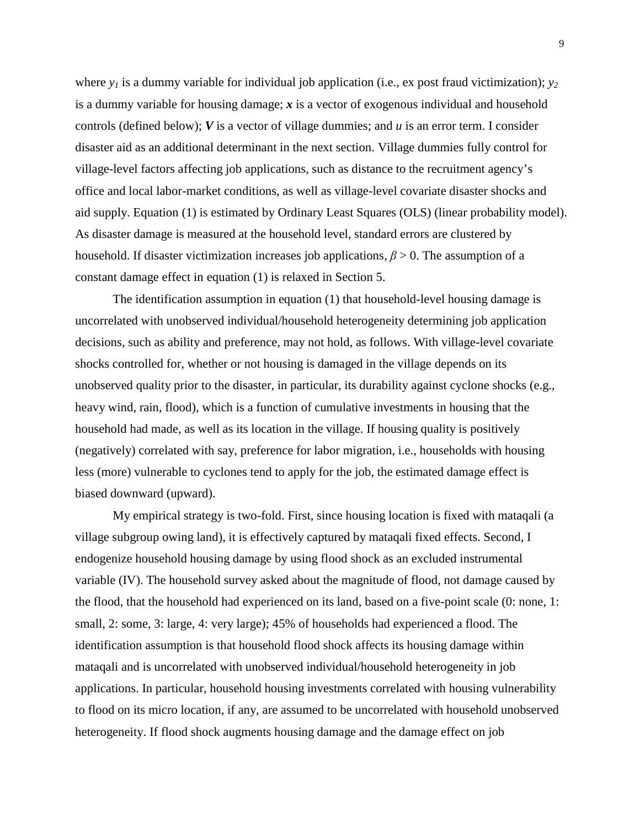where  $y_1$  is a dummy variable for individual job application (i.e., ex post fraud victimization);  $y_2$ is a dummy variable for housing damage; *x* is a vector of exogenous individual and household controls (defined below); *V* is a vector of village dummies; and *u* is an error term. I consider disaster aid as an additional determinant in the next section. Village dummies fully control for village-level factors affecting job applications, such as distance to the recruitment agency's office and local labor-market conditions, as well as village-level covariate disaster shocks and aid supply. Equation (1) is estimated by Ordinary Least Squares (OLS) (linear probability model). As disaster damage is measured at the household level, standard errors are clustered by household. If disaster victimization increases job applications,  $\beta > 0$ . The assumption of a constant damage effect in equation (1) is relaxed in Section 5.

The identification assumption in equation (1) that household-level housing damage is uncorrelated with unobserved individual/household heterogeneity determining job application decisions, such as ability and preference, may not hold, as follows. With village-level covariate shocks controlled for, whether or not housing is damaged in the village depends on its unobserved quality prior to the disaster, in particular, its durability against cyclone shocks (e.g., heavy wind, rain, flood), which is a function of cumulative investments in housing that the household had made, as well as its location in the village. If housing quality is positively (negatively) correlated with say, preference for labor migration, i.e., households with housing less (more) vulnerable to cyclones tend to apply for the job, the estimated damage effect is biased downward (upward).

My empirical strategy is two-fold. First, since housing location is fixed with mataqali (a village subgroup owing land), it is effectively captured by mataqali fixed effects. Second, I endogenize household housing damage by using flood shock as an excluded instrumental variable (IV). The household survey asked about the magnitude of flood, not damage caused by the flood, that the household had experienced on its land, based on a five-point scale (0: none, 1: small, 2: some, 3: large, 4: very large); 45% of households had experienced a flood. The identification assumption is that household flood shock affects its housing damage within mataqali and is uncorrelated with unobserved individual/household heterogeneity in job applications. In particular, household housing investments correlated with housing vulnerability to flood on its micro location, if any, are assumed to be uncorrelated with household unobserved heterogeneity. If flood shock augments housing damage and the damage effect on job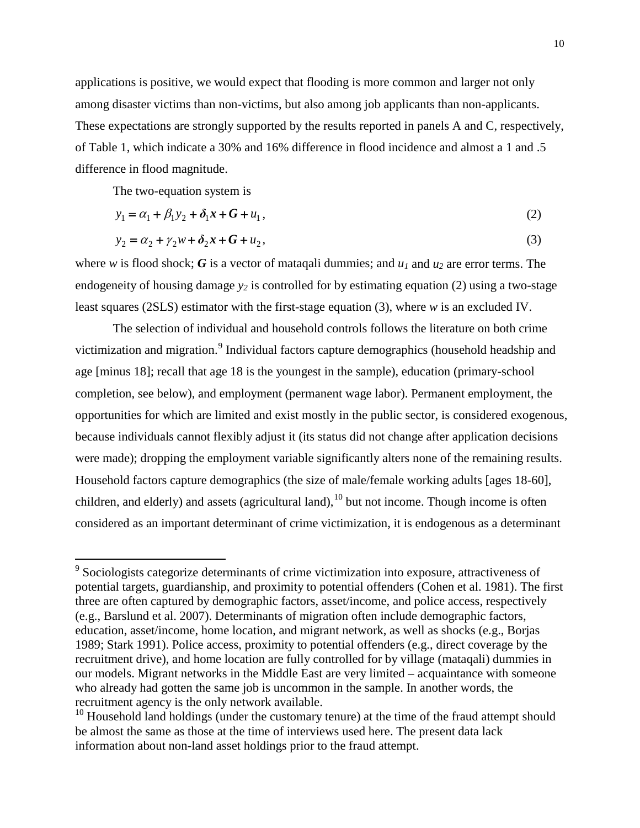applications is positive, we would expect that flooding is more common and larger not only among disaster victims than non-victims, but also among job applicants than non-applicants. These expectations are strongly supported by the results reported in panels A and C, respectively, of Table 1, which indicate a 30% and 16% difference in flood incidence and almost a 1 and .5 difference in flood magnitude.

The two-equation system is

$$
y_1 = \alpha_1 + \beta_1 y_2 + \delta_1 x + G + u_1,
$$
 (2)

$$
y_2 = a_2 + \gamma_2 w + \delta_2 x + G + u_2,
$$
\n(3)

where *w* is flood shock; *G* is a vector of mataqali dummies; and  $u_1$  and  $u_2$  are error terms. The endogeneity of housing damage  $y_2$  is controlled for by estimating equation (2) using a two-stage least squares (2SLS) estimator with the first-stage equation (3), where *w* is an excluded IV.

The selection of individual and household controls follows the literature on both crime victimization and migration.<sup>[9](#page-8-0)</sup> Individual factors capture demographics (household headship and age [minus 18]; recall that age 18 is the youngest in the sample), education (primary-school completion, see below), and employment (permanent wage labor). Permanent employment, the opportunities for which are limited and exist mostly in the public sector, is considered exogenous, because individuals cannot flexibly adjust it (its status did not change after application decisions were made); dropping the employment variable significantly alters none of the remaining results. Household factors capture demographics (the size of male/female working adults [ages 18-60], children, and elderly) and assets (agricultural land),  $^{10}$  $^{10}$  $^{10}$  but not income. Though income is often considered as an important determinant of crime victimization, it is endogenous as a determinant

<sup>&</sup>lt;sup>9</sup> Sociologists categorize determinants of crime victimization into exposure, attractiveness of potential targets, guardianship, and proximity to potential offenders [\(Cohen et al. 1981\)](#page-17-10). The first three are often captured by demographic factors, asset/income, and police access, respectively [\(e.g., Barslund et al. 2007\)](#page-17-11). Determinants of migration often include demographic factors, education, asset/income, home location, and migrant network, as well as shocks (e.g., [Borjas](#page-17-12)  [1989;](#page-17-12) [Stark 1991\)](#page-19-22). Police access, proximity to potential offenders (e.g., direct coverage by the recruitment drive), and home location are fully controlled for by village (mataqali) dummies in our models. Migrant networks in the Middle East are very limited – acquaintance with someone who already had gotten the same job is uncommon in the sample. In another words, the recruitment agency is the only network available.<br><sup>10</sup> Household land holdings (under the customary tenure) at the time of the fraud attempt should

<span id="page-11-1"></span><span id="page-11-0"></span>be almost the same as those at the time of interviews used here. The present data lack information about non-land asset holdings prior to the fraud attempt.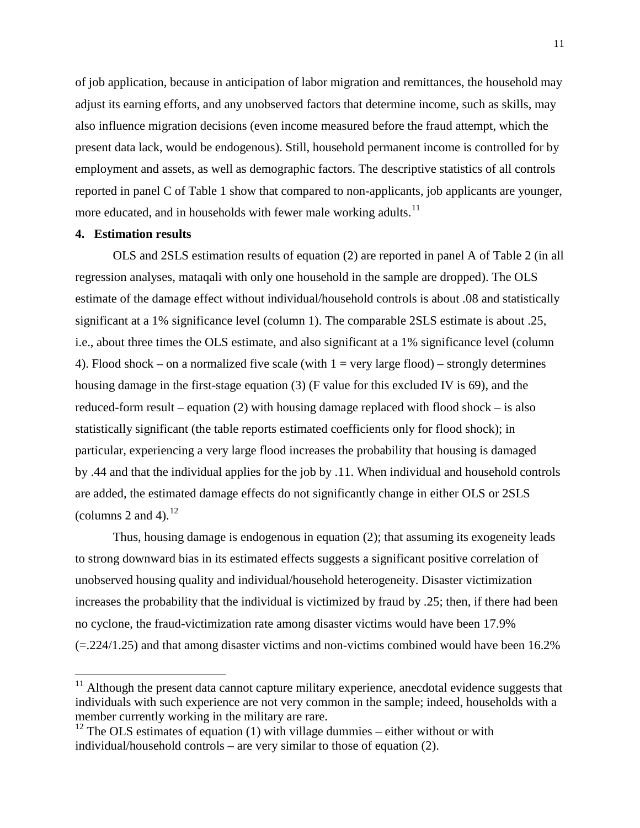of job application, because in anticipation of labor migration and remittances, the household may adjust its earning efforts, and any unobserved factors that determine income, such as skills, may also influence migration decisions (even income measured before the fraud attempt, which the present data lack, would be endogenous). Still, household permanent income is controlled for by employment and assets, as well as demographic factors. The descriptive statistics of all controls reported in panel C of Table 1 show that compared to non-applicants, job applicants are younger, more educated, and in households with fewer male working adults.<sup>[11](#page-11-1)</sup>

#### **4. Estimation results**

OLS and 2SLS estimation results of equation (2) are reported in panel A of Table 2 (in all regression analyses, mataqali with only one household in the sample are dropped). The OLS estimate of the damage effect without individual/household controls is about .08 and statistically significant at a 1% significance level (column 1). The comparable 2SLS estimate is about .25, i.e., about three times the OLS estimate, and also significant at a 1% significance level (column 4). Flood shock – on a normalized five scale (with  $1 = \text{very large flood}) - \text{strongly determines}$ housing damage in the first-stage equation (3) (F value for this excluded IV is 69), and the reduced-form result – equation (2) with housing damage replaced with flood shock – is also statistically significant (the table reports estimated coefficients only for flood shock); in particular, experiencing a very large flood increases the probability that housing is damaged by .44 and that the individual applies for the job by .11. When individual and household controls are added, the estimated damage effects do not significantly change in either OLS or 2SLS (columns 2 and 4). $^{12}$  $^{12}$  $^{12}$ 

Thus, housing damage is endogenous in equation (2); that assuming its exogeneity leads to strong downward bias in its estimated effects suggests a significant positive correlation of unobserved housing quality and individual/household heterogeneity. Disaster victimization increases the probability that the individual is victimized by fraud by .25; then, if there had been no cyclone, the fraud-victimization rate among disaster victims would have been 17.9%  $(=224/1.25)$  and that among disaster victims and non-victims combined would have been 16.2%

<span id="page-12-1"></span> $11$  Although the present data cannot capture military experience, anecdotal evidence suggests that individuals with such experience are not very common in the sample; indeed, households with a member currently working in the military are rare.

<span id="page-12-0"></span> $12$  The OLS estimates of equation (1) with village dummies – either without or with individual/household controls – are very similar to those of equation (2).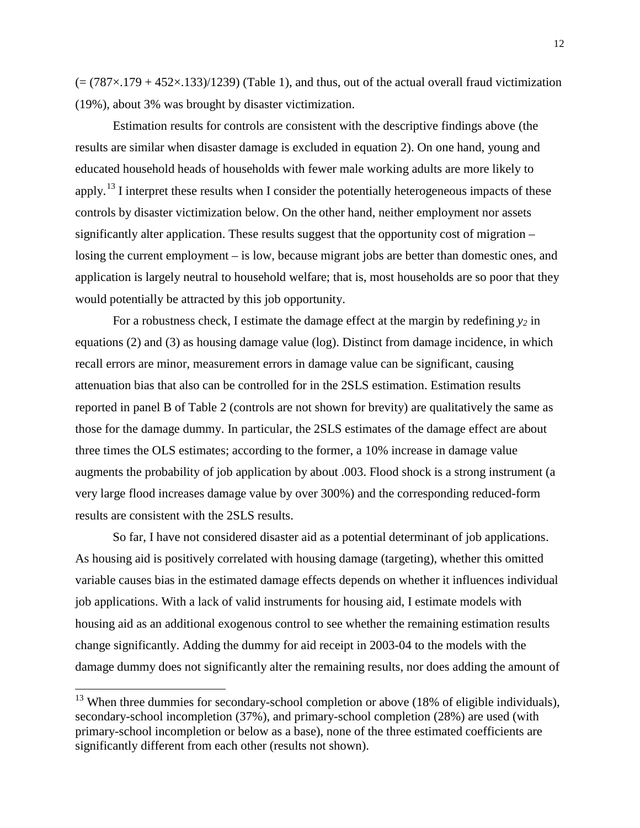$(=(787\times179+452\times133)/1239)$  (Table 1), and thus, out of the actual overall fraud victimization (19%), about 3% was brought by disaster victimization.

Estimation results for controls are consistent with the descriptive findings above (the results are similar when disaster damage is excluded in equation 2). On one hand, young and educated household heads of households with fewer male working adults are more likely to apply.<sup>[13](#page-12-1)</sup> I interpret these results when I consider the potentially heterogeneous impacts of these controls by disaster victimization below. On the other hand, neither employment nor assets significantly alter application. These results suggest that the opportunity cost of migration – losing the current employment – is low, because migrant jobs are better than domestic ones, and application is largely neutral to household welfare; that is, most households are so poor that they would potentially be attracted by this job opportunity.

For a robustness check, I estimate the damage effect at the margin by redefining  $y_2$  in equations (2) and (3) as housing damage value (log). Distinct from damage incidence, in which recall errors are minor, measurement errors in damage value can be significant, causing attenuation bias that also can be controlled for in the 2SLS estimation. Estimation results reported in panel B of Table 2 (controls are not shown for brevity) are qualitatively the same as those for the damage dummy. In particular, the 2SLS estimates of the damage effect are about three times the OLS estimates; according to the former, a 10% increase in damage value augments the probability of job application by about .003. Flood shock is a strong instrument (a very large flood increases damage value by over 300%) and the corresponding reduced-form results are consistent with the 2SLS results.

So far, I have not considered disaster aid as a potential determinant of job applications. As housing aid is positively correlated with housing damage (targeting), whether this omitted variable causes bias in the estimated damage effects depends on whether it influences individual job applications. With a lack of valid instruments for housing aid, I estimate models with housing aid as an additional exogenous control to see whether the remaining estimation results change significantly. Adding the dummy for aid receipt in 2003-04 to the models with the damage dummy does not significantly alter the remaining results, nor does adding the amount of

<span id="page-13-0"></span> $13$  When three dummies for secondary-school completion or above (18% of eligible individuals), secondary-school incompletion (37%), and primary-school completion (28%) are used (with primary-school incompletion or below as a base), none of the three estimated coefficients are significantly different from each other (results not shown).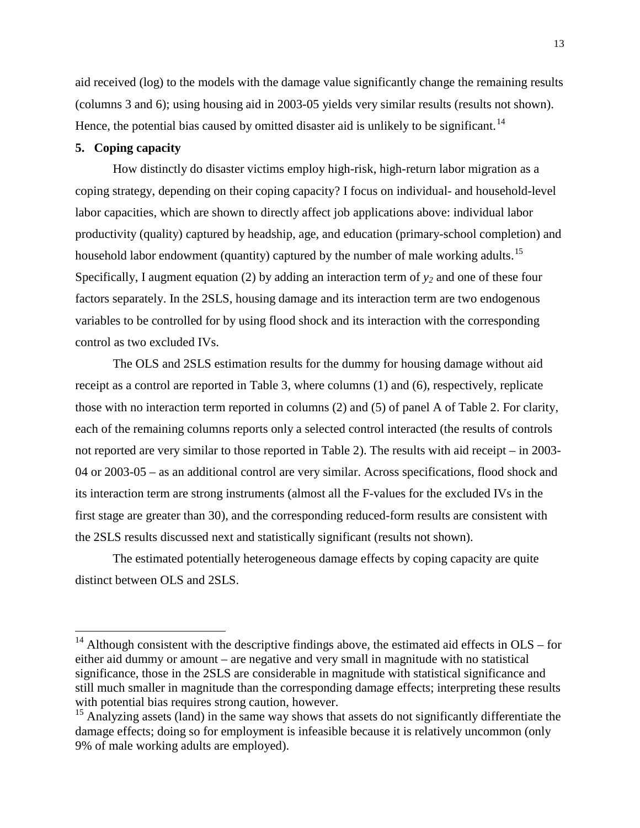aid received (log) to the models with the damage value significantly change the remaining results (columns 3 and 6); using housing aid in 2003-05 yields very similar results (results not shown). Hence, the potential bias caused by omitted disaster aid is unlikely to be significant.<sup>[14](#page-13-0)</sup>

## **5. Coping capacity**

How distinctly do disaster victims employ high-risk, high-return labor migration as a coping strategy, depending on their coping capacity? I focus on individual- and household-level labor capacities, which are shown to directly affect job applications above: individual labor productivity (quality) captured by headship, age, and education (primary-school completion) and household labor endowment (quantity) captured by the number of male working adults.<sup>[15](#page-14-0)</sup> Specifically, I augment equation (2) by adding an interaction term of  $y_2$  and one of these four factors separately. In the 2SLS, housing damage and its interaction term are two endogenous variables to be controlled for by using flood shock and its interaction with the corresponding control as two excluded IVs.

The OLS and 2SLS estimation results for the dummy for housing damage without aid receipt as a control are reported in Table 3, where columns (1) and (6), respectively, replicate those with no interaction term reported in columns (2) and (5) of panel A of Table 2. For clarity, each of the remaining columns reports only a selected control interacted (the results of controls not reported are very similar to those reported in Table 2). The results with aid receipt – in 2003- 04 or 2003-05 – as an additional control are very similar. Across specifications, flood shock and its interaction term are strong instruments (almost all the F-values for the excluded IVs in the first stage are greater than 30), and the corresponding reduced-form results are consistent with the 2SLS results discussed next and statistically significant (results not shown).

The estimated potentially heterogeneous damage effects by coping capacity are quite distinct between OLS and 2SLS.

<sup>&</sup>lt;sup>14</sup> Although consistent with the descriptive findings above, the estimated aid effects in OLS – for either aid dummy or amount – are negative and very small in magnitude with no statistical significance, those in the 2SLS are considerable in magnitude with statistical significance and still much smaller in magnitude than the corresponding damage effects; interpreting these results with potential bias requires strong caution, however.<br><sup>15</sup> Analyzing assets (land) in the same way shows that assets do not significantly differentiate the

<span id="page-14-1"></span><span id="page-14-0"></span>damage effects; doing so for employment is infeasible because it is relatively uncommon (only 9% of male working adults are employed).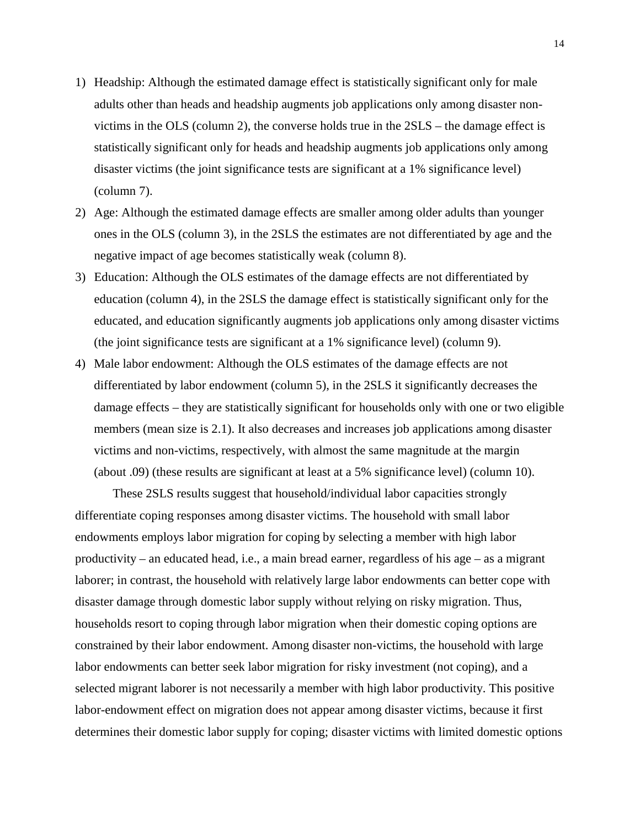- 1) Headship: Although the estimated damage effect is statistically significant only for male adults other than heads and headship augments job applications only among disaster nonvictims in the OLS (column 2), the converse holds true in the 2SLS – the damage effect is statistically significant only for heads and headship augments job applications only among disaster victims (the joint significance tests are significant at a 1% significance level) (column 7).
- 2) Age: Although the estimated damage effects are smaller among older adults than younger ones in the OLS (column 3), in the 2SLS the estimates are not differentiated by age and the negative impact of age becomes statistically weak (column 8).
- 3) Education: Although the OLS estimates of the damage effects are not differentiated by education (column 4), in the 2SLS the damage effect is statistically significant only for the educated, and education significantly augments job applications only among disaster victims (the joint significance tests are significant at a 1% significance level) (column 9).
- 4) Male labor endowment: Although the OLS estimates of the damage effects are not differentiated by labor endowment (column 5), in the 2SLS it significantly decreases the damage effects – they are statistically significant for households only with one or two eligible members (mean size is 2.1). It also decreases and increases job applications among disaster victims and non-victims, respectively, with almost the same magnitude at the margin (about .09) (these results are significant at least at a 5% significance level) (column 10).

These 2SLS results suggest that household/individual labor capacities strongly differentiate coping responses among disaster victims. The household with small labor endowments employs labor migration for coping by selecting a member with high labor productivity – an educated head, i.e., a main bread earner, regardless of his age – as a migrant laborer; in contrast, the household with relatively large labor endowments can better cope with disaster damage through domestic labor supply without relying on risky migration. Thus, households resort to coping through labor migration when their domestic coping options are constrained by their labor endowment. Among disaster non-victims, the household with large labor endowments can better seek labor migration for risky investment (not coping), and a selected migrant laborer is not necessarily a member with high labor productivity. This positive labor-endowment effect on migration does not appear among disaster victims, because it first determines their domestic labor supply for coping; disaster victims with limited domestic options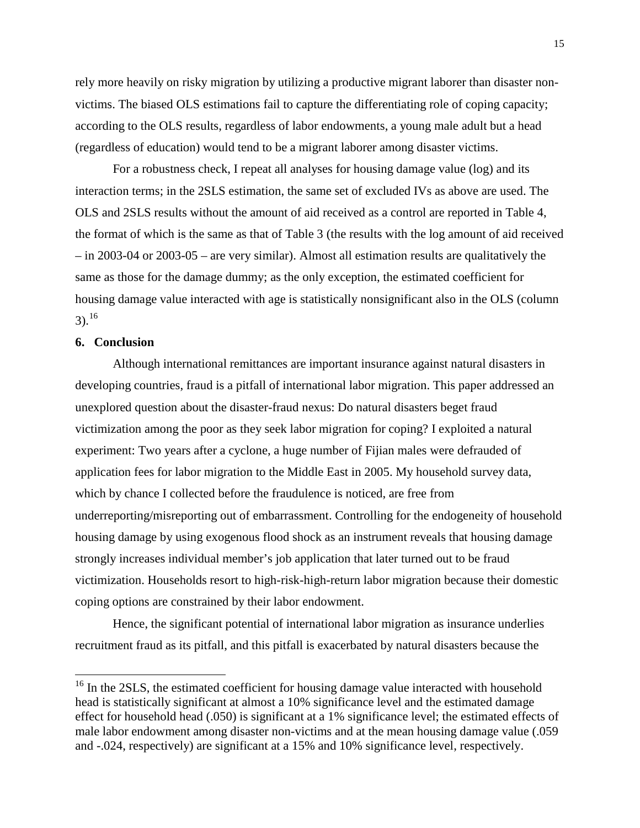rely more heavily on risky migration by utilizing a productive migrant laborer than disaster nonvictims. The biased OLS estimations fail to capture the differentiating role of coping capacity; according to the OLS results, regardless of labor endowments, a young male adult but a head (regardless of education) would tend to be a migrant laborer among disaster victims.

For a robustness check, I repeat all analyses for housing damage value (log) and its interaction terms; in the 2SLS estimation, the same set of excluded IVs as above are used. The OLS and 2SLS results without the amount of aid received as a control are reported in Table 4, the format of which is the same as that of Table 3 (the results with the log amount of aid received – in 2003-04 or 2003-05 – are very similar). Almost all estimation results are qualitatively the same as those for the damage dummy; as the only exception, the estimated coefficient for housing damage value interacted with age is statistically nonsignificant also in the OLS (column  $3).^{16}$  $3).^{16}$  $3).^{16}$ 

## **6. Conclusion**

Although international remittances are important insurance against natural disasters in developing countries, fraud is a pitfall of international labor migration. This paper addressed an unexplored question about the disaster-fraud nexus: Do natural disasters beget fraud victimization among the poor as they seek labor migration for coping? I exploited a natural experiment: Two years after a cyclone, a huge number of Fijian males were defrauded of application fees for labor migration to the Middle East in 2005. My household survey data, which by chance I collected before the fraudulence is noticed, are free from underreporting/misreporting out of embarrassment. Controlling for the endogeneity of household housing damage by using exogenous flood shock as an instrument reveals that housing damage strongly increases individual member's job application that later turned out to be fraud victimization. Households resort to high-risk-high-return labor migration because their domestic coping options are constrained by their labor endowment.

Hence, the significant potential of international labor migration as insurance underlies recruitment fraud as its pitfall, and this pitfall is exacerbated by natural disasters because the

<sup>&</sup>lt;sup>16</sup> In the 2SLS, the estimated coefficient for housing damage value interacted with household head is statistically significant at almost a 10% significance level and the estimated damage effect for household head (.050) is significant at a 1% significance level; the estimated effects of male labor endowment among disaster non-victims and at the mean housing damage value (.059 and -.024, respectively) are significant at a 15% and 10% significance level, respectively.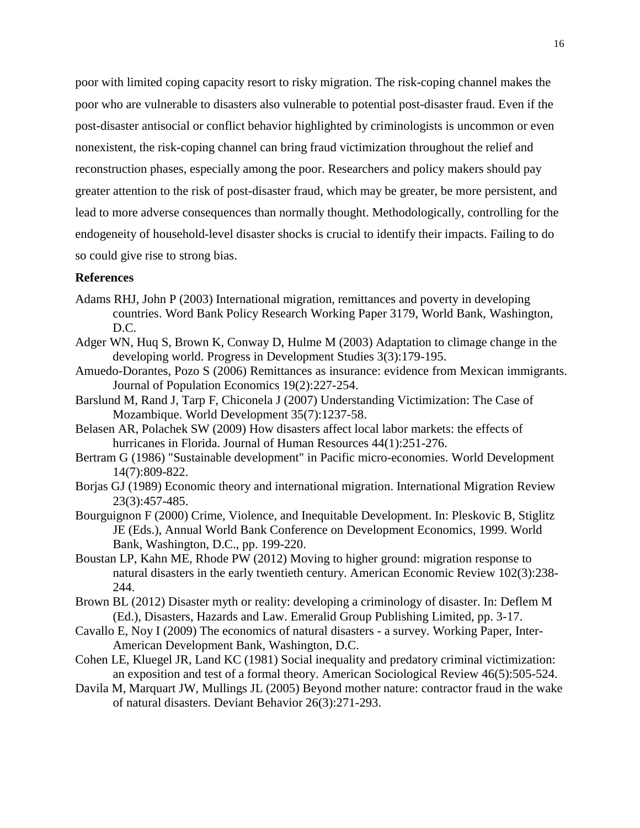poor with limited coping capacity resort to risky migration. The risk-coping channel makes the poor who are vulnerable to disasters also vulnerable to potential post-disaster fraud. Even if the post-disaster antisocial or conflict behavior highlighted by criminologists is uncommon or even nonexistent, the risk-coping channel can bring fraud victimization throughout the relief and reconstruction phases, especially among the poor. Researchers and policy makers should pay greater attention to the risk of post-disaster fraud, which may be greater, be more persistent, and lead to more adverse consequences than normally thought. Methodologically, controlling for the endogeneity of household-level disaster shocks is crucial to identify their impacts. Failing to do so could give rise to strong bias.

# **References**

- <span id="page-17-0"></span>Adams RHJ, John P (2003) International migration, remittances and poverty in developing countries. Word Bank Policy Research Working Paper 3179, World Bank, Washington, D.C.
- <span id="page-17-2"></span>Adger WN, Huq S, Brown K, Conway D, Hulme M (2003) Adaptation to climage change in the developing world. Progress in Development Studies 3(3):179-195.
- <span id="page-17-1"></span>Amuedo-Dorantes, Pozo S (2006) Remittances as insurance: evidence from Mexican immigrants. Journal of Population Economics 19(2):227-254.
- <span id="page-17-11"></span>Barslund M, Rand J, Tarp F, Chiconela J (2007) Understanding Victimization: The Case of Mozambique. World Development 35(7):1237-58.
- <span id="page-17-7"></span>Belasen AR, Polachek SW (2009) How disasters affect local labor markets: the effects of hurricanes in Florida. Journal of Human Resources 44(1):251-276.
- <span id="page-17-3"></span>Bertram G (1986) "Sustainable development" in Pacific micro-economies. World Development 14(7):809-822.
- <span id="page-17-12"></span>Borjas GJ (1989) Economic theory and international migration. International Migration Review 23(3):457-485.
- <span id="page-17-4"></span>Bourguignon F (2000) Crime, Violence, and Inequitable Development. In: Pleskovic B, Stiglitz JE (Eds.), Annual World Bank Conference on Development Economics, 1999. World Bank, Washington, D.C., pp. 199-220.
- <span id="page-17-8"></span>Boustan LP, Kahn ME, Rhode PW (2012) Moving to higher ground: migration response to natural disasters in the early twentieth century. American Economic Review 102(3):238- 244.
- <span id="page-17-6"></span>Brown BL (2012) Disaster myth or reality: developing a criminology of disaster. In: Deflem M (Ed.), Disasters, Hazards and Law. Emeralid Group Publishing Limited, pp. 3-17.
- <span id="page-17-9"></span>Cavallo E, Noy I (2009) The economics of natural disasters - a survey. Working Paper, Inter-American Development Bank, Washington, D.C.
- <span id="page-17-10"></span>Cohen LE, Kluegel JR, Land KC (1981) Social inequality and predatory criminal victimization: an exposition and test of a formal theory. American Sociological Review 46(5):505-524.
- <span id="page-17-5"></span>Davila M, Marquart JW, Mullings JL (2005) Beyond mother nature: contractor fraud in the wake of natural disasters. Deviant Behavior 26(3):271-293.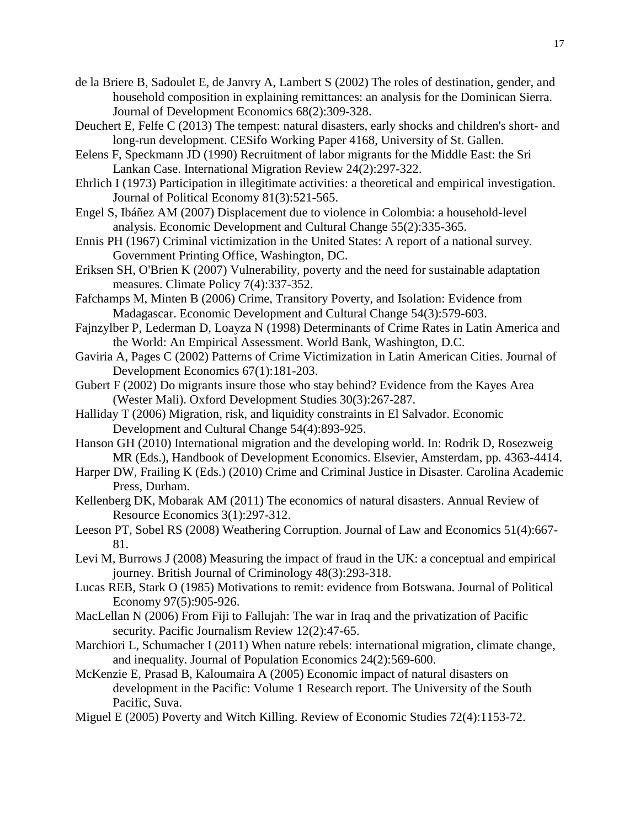- <span id="page-18-2"></span>de la Briere B, Sadoulet E, de Janvry A, Lambert S (2002) The roles of destination, gender, and household composition in explaining remittances: an analysis for the Dominican Sierra. Journal of Development Economics 68(2):309-328.
- <span id="page-18-16"></span>Deuchert E, Felfe C (2013) The tempest: natural disasters, early shocks and children's short- and long-run development. CESifo Working Paper 4168, University of St. Gallen.
- <span id="page-18-8"></span>Eelens F, Speckmann JD (1990) Recruitment of labor migrants for the Middle East: the Sri Lankan Case. International Migration Review 24(2):297-322.
- <span id="page-18-12"></span>Ehrlich I (1973) Participation in illegitimate activities: a theoretical and empirical investigation. Journal of Political Economy 81(3):521-565.
- <span id="page-18-19"></span>Engel S, Ibáñez AM (2007) Displacement due to violence in Colombia: a household-level analysis. Economic Development and Cultural Change 55(2):335-365.
- <span id="page-18-7"></span>Ennis PH (1967) Criminal victimization in the United States: A report of a national survey. Government Printing Office, Washington, DC.
- <span id="page-18-5"></span>Eriksen SH, O'Brien K (2007) Vulnerability, poverty and the need for sustainable adaptation measures. Climate Policy 7(4):337-352.
- <span id="page-18-14"></span>Fafchamps M, Minten B (2006) Crime, Transitory Poverty, and Isolation: Evidence from Madagascar. Economic Development and Cultural Change 54(3):579-603.
- <span id="page-18-10"></span>Fajnzylber P, Lederman D, Loayza N (1998) Determinants of Crime Rates in Latin America and the World: An Empirical Assessment. World Bank, Washington, D.C.
- <span id="page-18-11"></span>Gaviria A, Pages C (2002) Patterns of Crime Victimization in Latin American Cities. Journal of Development Economics 67(1):181-203.
- <span id="page-18-3"></span>Gubert F (2002) Do migrants insure those who stay behind? Evidence from the Kayes Area (Wester Mali). Oxford Development Studies 30(3):267-287.
- <span id="page-18-4"></span>Halliday T (2006) Migration, risk, and liquidity constraints in El Salvador. Economic Development and Cultural Change 54(4):893-925.
- <span id="page-18-1"></span>Hanson GH (2010) International migration and the developing world. In: Rodrik D, Rosezweig MR (Eds.), Handbook of Development Economics. Elsevier, Amsterdam, pp. 4363-4414.
- <span id="page-18-15"></span>Harper DW, Frailing K (Eds.) (2010) Crime and Criminal Justice in Disaster. Carolina Academic Press, Durham.
- <span id="page-18-18"></span>Kellenberg DK, Mobarak AM (2011) The economics of natural disasters. Annual Review of Resource Economics 3(1):297-312.
- <span id="page-18-17"></span>Leeson PT, Sobel RS (2008) Weathering Corruption. Journal of Law and Economics 51(4):667- 81.
- <span id="page-18-9"></span>Levi M, Burrows J (2008) Measuring the impact of fraud in the UK: a conceptual and empirical journey. British Journal of Criminology 48(3):293-318.
- <span id="page-18-0"></span>Lucas REB, Stark O (1985) Motivations to remit: evidence from Botswana. Journal of Political Economy 97(5):905-926.
- <span id="page-18-20"></span>MacLellan N (2006) From Fiji to Fallujah: The war in Iraq and the privatization of Pacific security. Pacific Journalism Review 12(2):47-65.
- <span id="page-18-6"></span>Marchiori L, Schumacher I (2011) When nature rebels: international migration, climate change, and inequality. Journal of Population Economics 24(2):569-600.
- <span id="page-18-21"></span>McKenzie E, Prasad B, Kaloumaira A (2005) Economic impact of natural disasters on development in the Pacific: Volume 1 Research report. The University of the South Pacific, Suva.
- <span id="page-18-13"></span>Miguel E (2005) Poverty and Witch Killing. Review of Economic Studies 72(4):1153-72.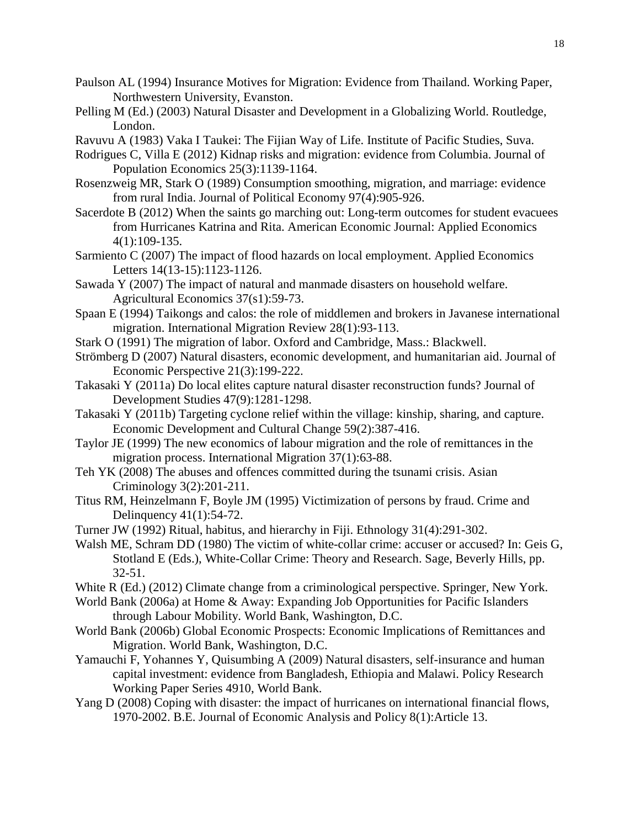- <span id="page-19-2"></span>Paulson AL (1994) Insurance Motives for Migration: Evidence from Thailand. Working Paper, Northwestern University, Evanston.
- <span id="page-19-4"></span>Pelling M (Ed.) (2003) Natural Disaster and Development in a Globalizing World. Routledge, London.
- <span id="page-19-18"></span>Ravuvu A (1983) Vaka I Taukei: The Fijian Way of Life. Institute of Pacific Studies, Suva.
- <span id="page-19-17"></span>Rodrigues C, Villa E (2012) Kidnap risks and migration: evidence from Columbia. Journal of Population Economics 25(3):1139-1164.
- <span id="page-19-1"></span>Rosenzweig MR, Stark O (1989) Consumption smoothing, migration, and marriage: evidence from rural India. Journal of Political Economy 97(4):905-926.
- <span id="page-19-15"></span>Sacerdote B (2012) When the saints go marching out: Long-term outcomes for student evacuees from Hurricanes Katrina and Rita. American Economic Journal: Applied Economics 4(1):109-135.
- <span id="page-19-16"></span>Sarmiento C (2007) The impact of flood hazards on local employment. Applied Economics Letters 14(13-15):1123-1126.
- <span id="page-19-5"></span>Sawada Y (2007) The impact of natural and manmade disasters on household welfare. Agricultural Economics 37(s1):59-73.
- <span id="page-19-8"></span>Spaan E (1994) Taikongs and calos: the role of middlemen and brokers in Javanese international migration. International Migration Review 28(1):93-113.
- <span id="page-19-22"></span>Stark O (1991) The migration of labor. Oxford and Cambridge, Mass.: Blackwell.
- <span id="page-19-6"></span>Strömberg D (2007) Natural disasters, economic development, and humanitarian aid. Journal of Economic Perspective 21(3):199-222.
- <span id="page-19-21"></span>Takasaki Y (2011a) Do local elites capture natural disaster reconstruction funds? Journal of Development Studies 47(9):1281-1298.
- <span id="page-19-20"></span>Takasaki Y (2011b) Targeting cyclone relief within the village: kinship, sharing, and capture. Economic Development and Cultural Change 59(2):387-416.
- <span id="page-19-0"></span>Taylor JE (1999) The new economics of labour migration and the role of remittances in the migration process. International Migration 37(1):63-88.
- <span id="page-19-13"></span>Teh YK (2008) The abuses and offences committed during the tsunami crisis. Asian Criminology 3(2):201-211.
- <span id="page-19-11"></span>Titus RM, Heinzelmann F, Boyle JM (1995) Victimization of persons by fraud. Crime and Delinquency 41(1):54-72.
- <span id="page-19-19"></span>Turner JW (1992) Ritual, habitus, and hierarchy in Fiji. Ethnology 31(4):291-302.
- <span id="page-19-9"></span>Walsh ME, Schram DD (1980) The victim of white-collar crime: accuser or accused? In: Geis G, Stotland E (Eds.), White-Collar Crime: Theory and Research. Sage, Beverly Hills, pp. 32-51.
- <span id="page-19-12"></span>White R (Ed.) (2012) Climate change from a criminological perspective. Springer, New York.
- <span id="page-19-10"></span>World Bank (2006a) at Home & Away: Expanding Job Opportunities for Pacific Islanders through Labour Mobility. World Bank, Washington, D.C.
- <span id="page-19-7"></span>World Bank (2006b) Global Economic Prospects: Economic Implications of Remittances and Migration. World Bank, Washington, D.C.
- <span id="page-19-14"></span>Yamauchi F, Yohannes Y, Quisumbing A (2009) Natural disasters, self-insurance and human capital investment: evidence from Bangladesh, Ethiopia and Malawi. Policy Research Working Paper Series 4910, World Bank.
- <span id="page-19-3"></span>Yang D (2008) Coping with disaster: the impact of hurricanes on international financial flows, 1970-2002. B.E. Journal of Economic Analysis and Policy 8(1):Article 13.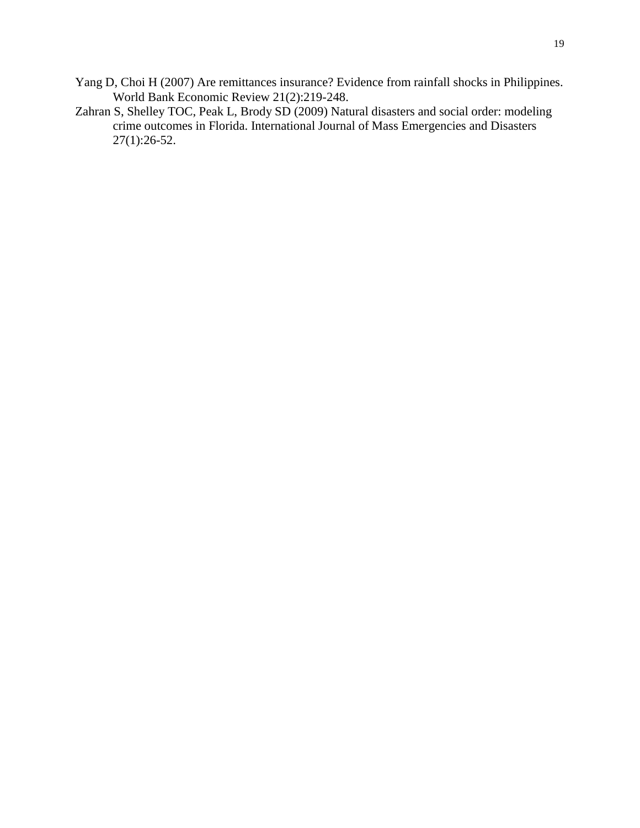- <span id="page-20-0"></span>Yang D, Choi H (2007) Are remittances insurance? Evidence from rainfall shocks in Philippines. World Bank Economic Review 21(2):219-248.
- <span id="page-20-1"></span>Zahran S, Shelley TOC, Peak L, Brody SD (2009) Natural disasters and social order: modeling crime outcomes in Florida. International Journal of Mass Emergencies and Disasters 27(1):26-52.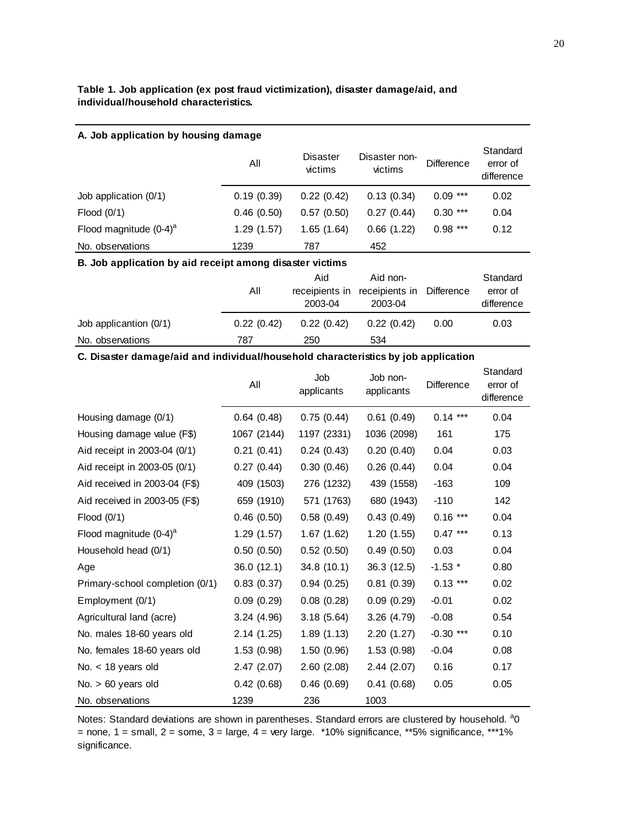## **Table 1. Job application (ex post fraud victimization), disaster damage/aid, and individual/household characteristics.**

| A. Job application by housing damage                     |            |                                  |                                       |            |                                    |  |  |  |  |  |
|----------------------------------------------------------|------------|----------------------------------|---------------------------------------|------------|------------------------------------|--|--|--|--|--|
|                                                          | All        | Disaster<br>victims              | Disaster non-<br>victims              | Difference | Standard<br>error of<br>difference |  |  |  |  |  |
| Job application $(0/1)$                                  | 0.19(0.39) | 0.22(0.42)                       | 0.13(0.34)                            | $0.09***$  | 0.02                               |  |  |  |  |  |
| Flood (0/1)                                              | 0.46(0.50) | 0.57(0.50)                       | 0.27(0.44)                            | $0.30***$  | 0.04                               |  |  |  |  |  |
| Flood magnitude $(0-4)^a$                                | 1.29(1.57) | 1.65(1.64)                       | 0.66(1.22)                            | $0.98***$  | 0.12                               |  |  |  |  |  |
| No. observations                                         | 1239       | 787                              | 452                                   |            |                                    |  |  |  |  |  |
| B. Job application by aid receipt among disaster victims |            |                                  |                                       |            |                                    |  |  |  |  |  |
|                                                          | All        | Aid<br>receipients in<br>2003-04 | Aid non-<br>receipients in<br>2003-04 | Difference | Standard<br>error of<br>difference |  |  |  |  |  |
| Job applicantion $(0/1)$                                 | 0.22(0.42) | 0.22(0.42)                       | 0.22(0.42)                            | 0.00       | 0.03                               |  |  |  |  |  |
| No. observations                                         | 787        | 250                              | 534                                   |            |                                    |  |  |  |  |  |

### **C. Disaster damage/aid and individual/household characteristics by job application**

|                                 | All         | Job<br>applicants | Job non-<br>applicants | <b>Difference</b> | Standard<br>error of<br>difference |  |
|---------------------------------|-------------|-------------------|------------------------|-------------------|------------------------------------|--|
| Housing damage (0/1)            | 0.64(0.48)  | 0.75(0.44)        | 0.61(0.49)             | $0.14***$         | 0.04                               |  |
| Housing damage value (F\$)      | 1067 (2144) | 1197 (2331)       | 1036 (2098)            | 161               | 175                                |  |
| Aid receipt in 2003-04 (0/1)    | 0.21(0.41)  | 0.24(0.43)        | 0.20(0.40)             | 0.04              | 0.03                               |  |
| Aid receipt in 2003-05 (0/1)    | 0.27(0.44)  | 0.30(0.46)        | 0.26(0.44)             | 0.04              | 0.04                               |  |
| Aid received in 2003-04 (F\$)   | 409 (1503)  | 276 (1232)        | 439 (1558)             | $-163$            | 109                                |  |
| Aid received in 2003-05 (F\$)   | 659 (1910)  | 571 (1763)        | 680 (1943)             | $-110$            | 142                                |  |
| Flood $(0/1)$                   | 0.46(0.50)  | 0.58(0.49)        | 0.43(0.49)             | $0.16***$         | 0.04                               |  |
| Flood magnitude $(0-4)^a$       | 1.29(1.57)  | 1.67(1.62)        | 1.20(1.55)             | $0.47***$         | 0.13                               |  |
| Household head (0/1)            | 0.50(0.50)  | 0.52(0.50)        | 0.49(0.50)             | 0.03              | 0.04                               |  |
| Age                             | 36.0(12.1)  | 34.8(10.1)        | 36.3(12.5)             | $-1.53$ *         | 0.80                               |  |
| Primary-school completion (0/1) | 0.83(0.37)  | 0.94(0.25)        | 0.81(0.39)             | $0.13***$         | 0.02                               |  |
| Employment (0/1)                | 0.09(0.29)  | 0.08(0.28)        | 0.09(0.29)             | $-0.01$           | 0.02                               |  |
| Agricultural land (acre)        | 3.24(4.96)  | 3.18(5.64)        | 3.26(4.79)             | $-0.08$           | 0.54                               |  |
| No. males 18-60 years old       | 2.14(1.25)  | 1.89(1.13)        | 2.20(1.27)             | $-0.30$ ***       | 0.10                               |  |
| No. females 18-60 years old     | 1.53(0.98)  | 1.50(0.96)        | 1.53(0.98)             | $-0.04$           | 0.08                               |  |
| No. $<$ 18 years old            | 2.47(2.07)  | 2.60(2.08)        | 2.44(2.07)             | 0.16              | 0.17                               |  |
| No. $> 60$ years old            | 0.42(0.68)  | 0.46(0.69)        | 0.41(0.68)             | 0.05              | 0.05                               |  |
| No. observations                | 1239        | 236               | 1003                   |                   |                                    |  |

Notes: Standard deviations are shown in parentheses. Standard errors are clustered by household. <sup>a</sup>0 = none,  $1$  = small,  $2$  = some,  $3$  = large,  $4$  = very large. \*10% significance, \*\*5% significance, \*\*\*1% significance.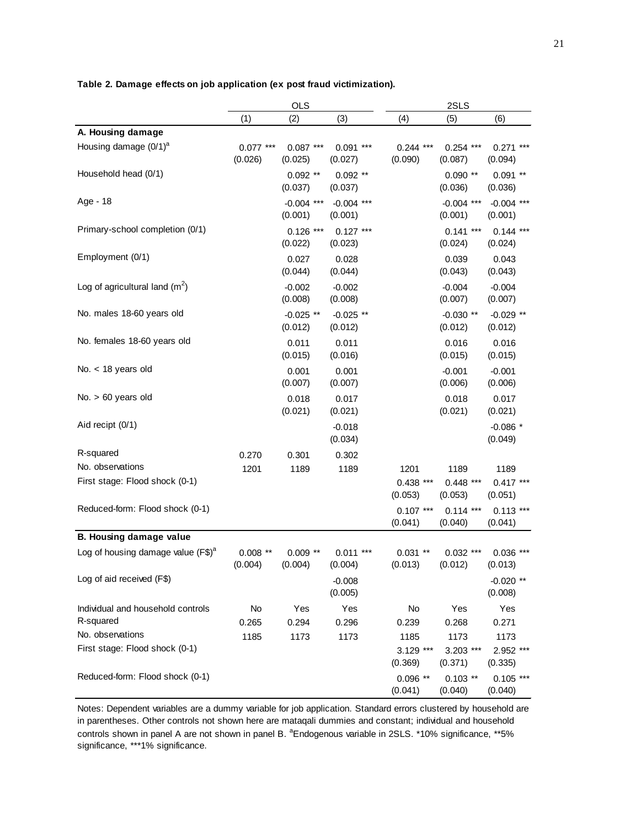|                                                |                       | OLS                     |                         | 2SLS                   |                         |                         |  |  |
|------------------------------------------------|-----------------------|-------------------------|-------------------------|------------------------|-------------------------|-------------------------|--|--|
|                                                | (1)                   | (2)                     | (3)                     | (4)                    | (5)                     | (6)                     |  |  |
| A. Housing damage                              |                       |                         |                         |                        |                         |                         |  |  |
| Housing damage $(0/1)^a$                       | $0.077***$<br>(0.026) | $0.087***$<br>(0.025)   | $0.091$ ***<br>(0.027)  | $0.244$ ***<br>(0.090) | $0.254$ ***<br>(0.087)  | $0.271$ ***<br>(0.094)  |  |  |
| Household head (0/1)                           |                       | $0.092$ **<br>(0.037)   | $0.092$ **<br>(0.037)   |                        | $0.090**$<br>(0.036)    | $0.091$ **<br>(0.036)   |  |  |
| Age - 18                                       |                       | $-0.004$ ***<br>(0.001) | $-0.004$ ***<br>(0.001) |                        | $-0.004$ ***<br>(0.001) | $-0.004$ ***<br>(0.001) |  |  |
| Primary-school completion (0/1)                |                       | $0.126$ ***<br>(0.022)  | $0.127$ ***<br>(0.023)  |                        | $0.141***$<br>(0.024)   | $0.144$ ***<br>(0.024)  |  |  |
| Employment (0/1)                               |                       | 0.027<br>(0.044)        | 0.028<br>(0.044)        |                        | 0.039<br>(0.043)        | 0.043<br>(0.043)        |  |  |
| Log of agricultural land $(m^2)$               |                       | $-0.002$<br>(0.008)     | $-0.002$<br>(0.008)     |                        | $-0.004$<br>(0.007)     | $-0.004$<br>(0.007)     |  |  |
| No. males 18-60 years old                      |                       | $-0.025$ **<br>(0.012)  | $-0.025$ **<br>(0.012)  |                        | $-0.030$ **<br>(0.012)  | $-0.029$ **<br>(0.012)  |  |  |
| No. females 18-60 years old                    |                       | 0.011<br>(0.015)        | 0.011<br>(0.016)        |                        | 0.016<br>(0.015)        | 0.016<br>(0.015)        |  |  |
| No. $<$ 18 years old                           |                       | 0.001<br>(0.007)        | 0.001<br>(0.007)        |                        | $-0.001$<br>(0.006)     | $-0.001$<br>(0.006)     |  |  |
| $No. > 60$ years old                           |                       | 0.018<br>(0.021)        | 0.017<br>(0.021)        |                        | 0.018<br>(0.021)        | 0.017<br>(0.021)        |  |  |
| Aid recipt (0/1)                               |                       |                         | $-0.018$<br>(0.034)     |                        |                         | $-0.086*$<br>(0.049)    |  |  |
| R-squared                                      | 0.270                 | 0.301                   | 0.302                   |                        |                         |                         |  |  |
| No. observations                               | 1201                  | 1189                    | 1189                    | 1201                   | 1189                    | 1189                    |  |  |
| First stage: Flood shock (0-1)                 |                       |                         |                         | $0.438$ ***<br>(0.053) | $0.448$ ***<br>(0.053)  | $0.417***$<br>(0.051)   |  |  |
| Reduced-form: Flood shock (0-1)                |                       |                         |                         | $0.107$ ***<br>(0.041) | $0.114$ ***<br>(0.040)  | $0.113$ ***<br>(0.041)  |  |  |
| B. Housing damage value                        |                       |                         |                         |                        |                         |                         |  |  |
| Log of housing damage value (F\$) <sup>a</sup> | $0.008$ **<br>(0.004) | $0.009**$<br>(0.004)    | $0.011***$<br>(0.004)   | $0.031$ **<br>(0.013)  | $0.032$ ***<br>(0.012)  | $0.036$ ***<br>(0.013)  |  |  |
| Log of aid received (F\$)                      |                       |                         | $-0.008$<br>(0.005)     |                        |                         | $-0.020$ **<br>(0.008)  |  |  |
| Individual and household controls<br>R-squared | No<br>0.265           | Yes<br>0.294            | Yes<br>0.296            | No<br>0.239            | Yes<br>0.268            | Yes<br>0.271            |  |  |
| No. observations                               | 1185                  | 1173                    | 1173                    | 1185                   | 1173                    | 1173                    |  |  |
| First stage: Flood shock (0-1)                 |                       |                         |                         | 3.129 ***<br>(0.369)   | $3.203$ ***<br>(0.371)  | 2.952 ***<br>(0.335)    |  |  |
| Reduced-form: Flood shock (0-1)                |                       |                         |                         | $0.096$ **<br>(0.041)  | $0.103$ **<br>(0.040)   | $0.105$ ***<br>(0.040)  |  |  |

**Table 2. Damage effects on job application (ex post fraud victimization).**

Notes: Dependent variables are a dummy variable for job application. Standard errors clustered by household are in parentheses. Other controls not shown here are mataqali dummies and constant; individual and household controls shown in panel A are not shown in panel B. <sup>a</sup>Endogenous variable in 2SLS. \*10% significance, \*\*5% significance, \*\*\*1% significance.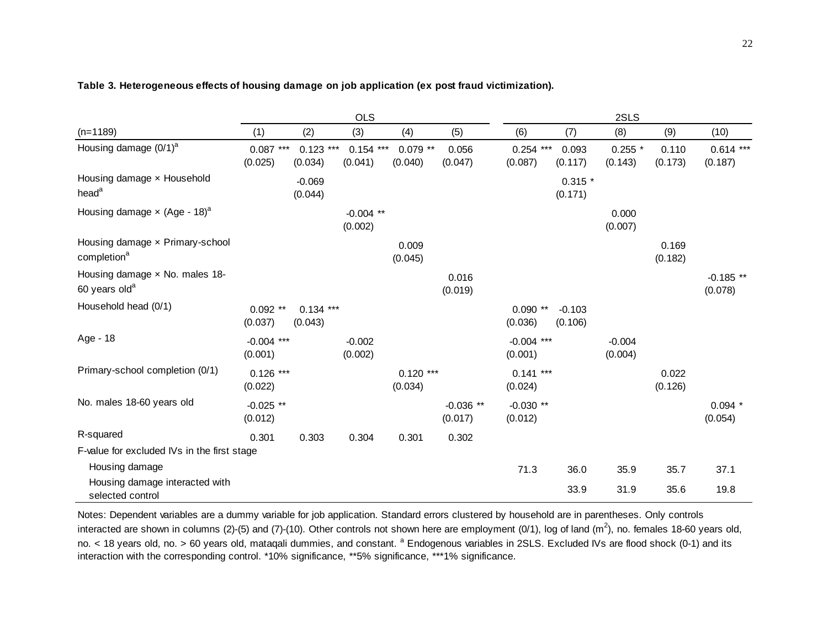|                                                                    | <b>OLS</b>              |                        |                         |                        |                        | 2SLS                    |                     |                      |                  |                        |
|--------------------------------------------------------------------|-------------------------|------------------------|-------------------------|------------------------|------------------------|-------------------------|---------------------|----------------------|------------------|------------------------|
| $(n=1189)$                                                         | (1)                     | (2)                    | (3)                     | (4)                    | (5)                    | (6)                     | (7)                 | (8)                  | (9)              | (10)                   |
| Housing damage $(0/1)^a$                                           | 0.087<br>***<br>(0.025) | $0.123$ ***<br>(0.034) | 0.154<br>***<br>(0.041) | $0.079$ **<br>(0.040)  | 0.056<br>(0.047)       | $0.254$ ***<br>(0.087)  | 0.093<br>(0.117)    | $0.255$ *<br>(0.143) | 0.110<br>(0.173) | $0.614$ ***<br>(0.187) |
| Housing damage x Household<br>head <sup>a</sup>                    |                         | $-0.069$<br>(0.044)    |                         |                        |                        |                         | $0.315*$<br>(0.171) |                      |                  |                        |
| Housing damage $\times$ (Age - 18) <sup>a</sup>                    |                         |                        | $-0.004$ **<br>(0.002)  |                        |                        |                         |                     | 0.000<br>(0.007)     |                  |                        |
| Housing damage x Primary-school<br>completion <sup>a</sup>         |                         |                        |                         | 0.009<br>(0.045)       |                        |                         |                     |                      | 0.169<br>(0.182) |                        |
| Housing damage $\times$ No. males 18-<br>60 years old <sup>a</sup> |                         |                        |                         |                        | 0.016<br>(0.019)       |                         |                     |                      |                  | $-0.185**$<br>(0.078)  |
| Household head (0/1)                                               | $0.092$ **<br>(0.037)   | $0.134$ ***<br>(0.043) |                         |                        |                        | $0.090**$<br>(0.036)    | $-0.103$<br>(0.106) |                      |                  |                        |
| Age - 18                                                           | $-0.004$ ***<br>(0.001) |                        | $-0.002$<br>(0.002)     |                        |                        | $-0.004$ ***<br>(0.001) |                     | $-0.004$<br>(0.004)  |                  |                        |
| Primary-school completion (0/1)                                    | $0.126$ ***<br>(0.022)  |                        |                         | $0.120$ ***<br>(0.034) |                        | $0.141$ ***<br>(0.024)  |                     |                      | 0.022<br>(0.126) |                        |
| No. males 18-60 years old                                          | $-0.025$ **<br>(0.012)  |                        |                         |                        | $-0.036$ **<br>(0.017) | $-0.030**$<br>(0.012)   |                     |                      |                  | $0.094*$<br>(0.054)    |
| R-squared                                                          | 0.301                   | 0.303                  | 0.304                   | 0.301                  | 0.302                  |                         |                     |                      |                  |                        |
| F-value for excluded IVs in the first stage                        |                         |                        |                         |                        |                        |                         |                     |                      |                  |                        |
| Housing damage                                                     |                         |                        |                         |                        |                        | 71.3                    | 36.0                | 35.9                 | 35.7             | 37.1                   |
| Housing damage interacted with<br>selected control                 |                         |                        |                         |                        |                        |                         | 33.9                | 31.9                 | 35.6             | 19.8                   |

#### **Table 3. Heterogeneous effects of housing damage on job application (ex post fraud victimization).**

Notes: Dependent variables are a dummy variable for job application. Standard errors clustered by household are in parentheses. Only controls interacted are shown in columns (2)-(5) and (7)-(10). Other controls not shown here are employment (0/1), log of land (m<sup>2</sup>), no. females 18-60 years old, no. < 18 years old, no. > 60 years old, mataqali dummies, and constant. <sup>a</sup> Endogenous variables in 2SLS. Excluded IVs are flood shock (0-1) and its interaction with the corresponding control. \*10% significance, \*\*5% significance, \*\*\*1% significance.